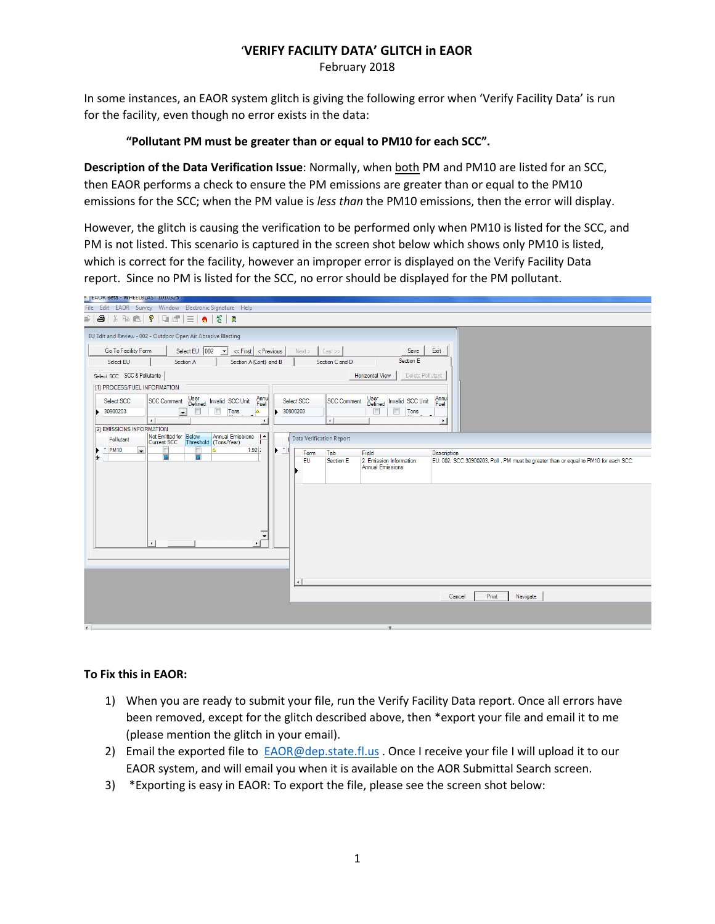# '**VERIFY FACILITY DATA' GLITCH in EAOR**

February 2018

In some instances, an EAOR system glitch is giving the following error when 'Verify Facility Data' is run for the facility, even though no error exists in the data:

## **"Pollutant PM must be greater than or equal to PM10 for each SCC".**

**Description of the Data Verification Issue**: Normally, when both PM and PM10 are listed for an SCC, then EAOR performs a check to ensure the PM emissions are greater than or equal to the PM10 emissions for the SCC; when the PM value is *less than* the PM10 emissions, then the error will display.

However, the glitch is causing the verification to be performed only when PM10 is listed for the SCC, and PM is not listed. This scenario is captured in the screen shot below which shows only PM10 is listed, which is correct for the facility, however an improper error is displayed on the Verify Facility Data report. Since no PM is listed for the SCC, no error should be displayed for the PM pollutant.



#### **To Fix this in EAOR:**

- 1) When you are ready to submit your file, run the Verify Facility Data report. Once all errors have been removed, except for the glitch described above, then \*export your file and email it to me (please mention the glitch in your email).
- 2) Email the exported file to [EAOR@dep.state.fl.us](mailto:EAOR@dep.state.fl.us) . Once I receive your file I will upload it to our EAOR system, and will email you when it is available on the AOR Submittal Search screen.
- 3) \*Exporting is easy in EAOR: To export the file, please see the screen shot below: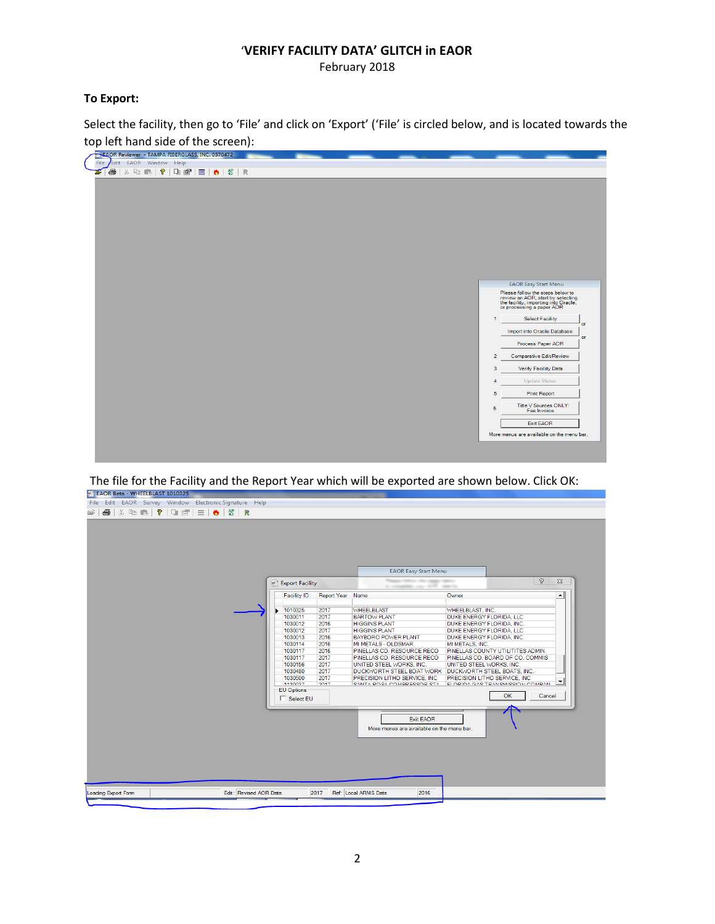## '**VERIFY FACILITY DATA' GLITCH in EAOR**

February 2018

## **To Export:**

Select the facility, then go to 'File' and click on 'Export' ('File' is circled below, and is located towards the top left hand side of the screen):



The file for the Facility and the Report Year which will be exported are shown below. Click OK:

|                |  |  | File Edit EAOR Survey Window Electronic Signature Help |         |                                                                     |                      |                           |                                          |                                                          |                           |                                                                       |                  |
|----------------|--|--|--------------------------------------------------------|---------|---------------------------------------------------------------------|----------------------|---------------------------|------------------------------------------|----------------------------------------------------------|---------------------------|-----------------------------------------------------------------------|------------------|
| $\mathbb{R}^2$ |  |  |                                                        |         |                                                                     |                      |                           |                                          |                                                          |                           |                                                                       |                  |
|                |  |  |                                                        |         |                                                                     |                      |                           |                                          |                                                          |                           |                                                                       |                  |
|                |  |  |                                                        |         |                                                                     |                      |                           |                                          |                                                          |                           |                                                                       |                  |
|                |  |  |                                                        |         |                                                                     |                      |                           |                                          |                                                          |                           |                                                                       |                  |
|                |  |  |                                                        |         |                                                                     |                      |                           |                                          |                                                          |                           |                                                                       |                  |
|                |  |  |                                                        |         |                                                                     |                      |                           |                                          |                                                          |                           |                                                                       |                  |
|                |  |  |                                                        |         |                                                                     |                      |                           |                                          |                                                          |                           |                                                                       |                  |
|                |  |  |                                                        |         |                                                                     |                      |                           |                                          | <b>EAOR Easy Start Menu</b>                              |                           |                                                                       |                  |
|                |  |  |                                                        |         |                                                                     |                      | Export Facility           |                                          |                                                          | g.<br>$\Sigma$            |                                                                       |                  |
|                |  |  |                                                        |         |                                                                     |                      |                           |                                          | a constitution and all contracts                         |                           |                                                                       |                  |
|                |  |  |                                                        |         |                                                                     |                      | <b>Facility ID</b>        | Report Year Name                         |                                                          | Owner                     |                                                                       | $\blacktriangle$ |
|                |  |  |                                                        |         |                                                                     |                      |                           |                                          |                                                          |                           |                                                                       |                  |
|                |  |  |                                                        |         |                                                                     | 1010325<br>1030011   | 2017<br>2017              | <b>WHEELBLAST</b><br><b>BARTOW PLANT</b> | WHEELBLAST, INC.<br>DUKE ENERGY FLORIDA, LLC             |                           |                                                                       |                  |
|                |  |  |                                                        | 1030012 | 2016                                                                | <b>HIGGINS PLANT</b> | DUKE ENERGY FLORIDA, INC. |                                          |                                                          |                           |                                                                       |                  |
|                |  |  |                                                        |         | 1030012<br>2017<br><b>HIGGINS PLANT</b><br>DUKE ENERGY FLORIDA, LLC |                      |                           |                                          |                                                          |                           |                                                                       |                  |
|                |  |  |                                                        |         |                                                                     |                      | 1030013                   | 2016                                     | BAYBORO POWER PLANT                                      | DUKE ENERGY FLORIDA. INC. |                                                                       |                  |
|                |  |  |                                                        |         |                                                                     |                      | 1030114                   | 2016                                     | MI METALS - OLDSMAR                                      | MI METALS, INC.           |                                                                       |                  |
|                |  |  |                                                        |         |                                                                     |                      | 1030117<br>1030117        | 2016<br>2017                             | PINELLAS CO. RESOURCE RECO<br>PINELLAS CO. RESOURCE RECO |                           | PINELLAS COUNTY UTILITITES ADMIN.<br>PINELLAS CO. BOARD OF CO. COMMIS |                  |
|                |  |  |                                                        |         |                                                                     |                      | 1030156                   | 2017                                     | UNITED STEEL WORKS, INC.                                 | UNITED STEEL WORKS. INC.  |                                                                       |                  |
|                |  |  |                                                        |         |                                                                     |                      | 1030480                   | 2017                                     | DUCKWORTH STEEL BOAT WORK DUCKWORTH STEEL BOATS, INC.    |                           |                                                                       |                  |
|                |  |  |                                                        |         |                                                                     |                      | 1030500                   | 2017                                     | PRECISION LITHO SERVICE, INC.                            |                           | PRECISION LITHO SERVICE. INC.                                         |                  |
|                |  |  |                                                        |         |                                                                     |                      | <b>TCANCEE</b>            | 2017                                     | CANITA DOCA COMPRESSOR STA                               |                           | ELODIDA CAS TRANSMISSION COMPAN                                       |                  |
|                |  |  |                                                        |         |                                                                     |                      | <b>EU Options</b>         |                                          |                                                          |                           | OK                                                                    | Cancel           |
|                |  |  |                                                        |         |                                                                     |                      | $\Box$ Select EU          |                                          |                                                          |                           |                                                                       |                  |
|                |  |  |                                                        |         |                                                                     |                      |                           |                                          |                                                          |                           |                                                                       |                  |
|                |  |  |                                                        |         |                                                                     |                      |                           |                                          | <b>Exit EAOR</b>                                         |                           |                                                                       |                  |
|                |  |  |                                                        |         |                                                                     |                      |                           |                                          | More menus are available on the menu bar.                |                           |                                                                       |                  |
|                |  |  |                                                        |         |                                                                     |                      |                           |                                          |                                                          |                           |                                                                       |                  |
|                |  |  |                                                        |         |                                                                     |                      |                           |                                          |                                                          |                           |                                                                       |                  |
|                |  |  |                                                        |         |                                                                     |                      |                           |                                          |                                                          |                           |                                                                       |                  |
|                |  |  |                                                        |         |                                                                     |                      |                           |                                          |                                                          |                           |                                                                       |                  |
|                |  |  |                                                        |         |                                                                     |                      |                           |                                          |                                                          |                           |                                                                       |                  |
|                |  |  |                                                        |         |                                                                     |                      |                           |                                          |                                                          |                           |                                                                       |                  |
|                |  |  |                                                        |         |                                                                     |                      |                           |                                          |                                                          |                           |                                                                       |                  |
|                |  |  |                                                        |         |                                                                     |                      |                           |                                          |                                                          |                           |                                                                       |                  |